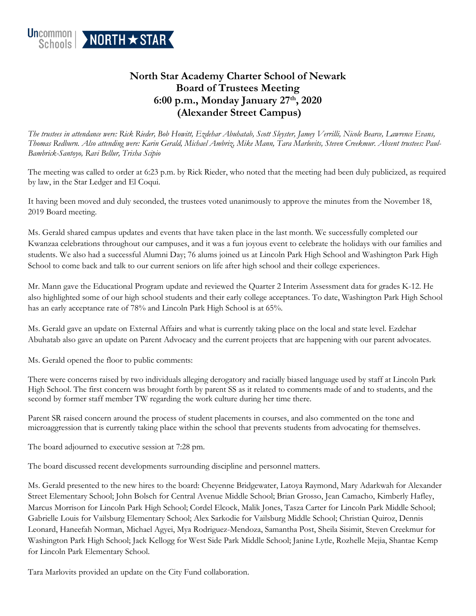

## **North Star Academy Charter School of Newark Board of Trustees Meeting 6:00 p.m., Monday January 27th, 2020 (Alexander Street Campus)**

*The trustees in attendance were: Rick Rieder, Bob Howitt, Ezdehar Abuhatab, Scott Sleyster, Jamey Verrilli, Nicole Bearce, Lawrence Evans, Thomas Redburn. Also attending were: Karin Gerald, Michael Ambriz, Mike Mann, Tara Marlovits, Steven Creekmur. Absent trustees: Paul-Bambrick-Santoyo, Ravi Bellur, Trisha Scipio*

The meeting was called to order at 6:23 p.m. by Rick Rieder, who noted that the meeting had been duly publicized, as required by law, in the Star Ledger and El Coqui.

It having been moved and duly seconded, the trustees voted unanimously to approve the minutes from the November 18, 2019 Board meeting.

Ms. Gerald shared campus updates and events that have taken place in the last month. We successfully completed our Kwanzaa celebrations throughout our campuses, and it was a fun joyous event to celebrate the holidays with our families and students. We also had a successful Alumni Day; 76 alums joined us at Lincoln Park High School and Washington Park High School to come back and talk to our current seniors on life after high school and their college experiences.

Mr. Mann gave the Educational Program update and reviewed the Quarter 2 Interim Assessment data for grades K-12. He also highlighted some of our high school students and their early college acceptances. To date, Washington Park High School has an early acceptance rate of 78% and Lincoln Park High School is at 65%.

Ms. Gerald gave an update on External Affairs and what is currently taking place on the local and state level. Ezdehar Abuhatab also gave an update on Parent Advocacy and the current projects that are happening with our parent advocates.

Ms. Gerald opened the floor to public comments:

There were concerns raised by two individuals alleging derogatory and racially biased language used by staff at Lincoln Park High School. The first concern was brought forth by parent SS as it related to comments made of and to students, and the second by former staff member TW regarding the work culture during her time there.

Parent SR raised concern around the process of student placements in courses, and also commented on the tone and microaggression that is currently taking place within the school that prevents students from advocating for themselves.

The board adjourned to executive session at 7:28 pm.

The board discussed recent developments surrounding discipline and personnel matters.

Ms. Gerald presented to the new hires to the board: Cheyenne Bridgewater, Latoya Raymond, Mary Adarkwah for Alexander Street Elementary School; John Bolsch for Central Avenue Middle School; Brian Grosso, Jean Camacho, Kimberly Hafley, Marcus Morrison for Lincoln Park High School; Cordel Elcock, Malik Jones, Tasza Carter for Lincoln Park Middle School; Gabrielle Louis for Vailsburg Elementary School; Alex Sarkodie for Vailsburg Middle School; Christian Quiroz, Dennis Leonard, Haneefah Norman, Michael Agyei, Mya Rodriguez-Mendoza, Samantha Post, Sheila Sisimit, Steven Creekmur for Washington Park High School; Jack Kellogg for West Side Park Middle School; Janine Lytle, Rozhelle Mejia, Shantae Kemp for Lincoln Park Elementary School.

Tara Marlovits provided an update on the City Fund collaboration.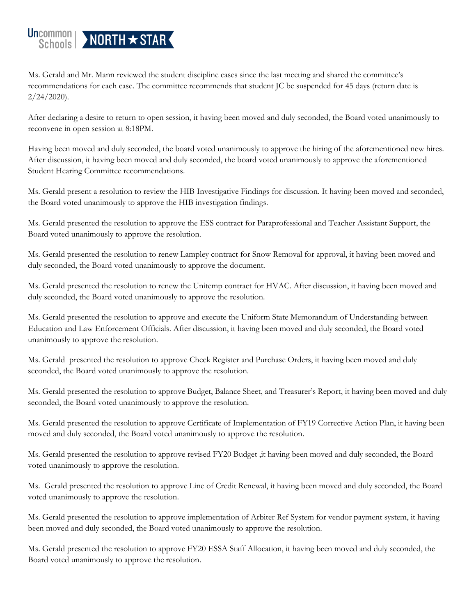

Ms. Gerald and Mr. Mann reviewed the student discipline cases since the last meeting and shared the committee's recommendations for each case. The committee recommends that student JC be suspended for 45 days (return date is  $2/24/2020$ ).

After declaring a desire to return to open session, it having been moved and duly seconded, the Board voted unanimously to reconvene in open session at 8:18PM.

Having been moved and duly seconded, the board voted unanimously to approve the hiring of the aforementioned new hires. After discussion, it having been moved and duly seconded, the board voted unanimously to approve the aforementioned Student Hearing Committee recommendations.

Ms. Gerald present a resolution to review the HIB Investigative Findings for discussion. It having been moved and seconded, the Board voted unanimously to approve the HIB investigation findings.

Ms. Gerald presented the resolution to approve the ESS contract for Paraprofessional and Teacher Assistant Support, the Board voted unanimously to approve the resolution.

Ms. Gerald presented the resolution to renew Lampley contract for Snow Removal for approval, it having been moved and duly seconded, the Board voted unanimously to approve the document.

Ms. Gerald presented the resolution to renew the Unitemp contract for HVAC. After discussion, it having been moved and duly seconded, the Board voted unanimously to approve the resolution.

Ms. Gerald presented the resolution to approve and execute the Uniform State Memorandum of Understanding between Education and Law Enforcement Officials. After discussion, it having been moved and duly seconded, the Board voted unanimously to approve the resolution.

Ms. Gerald presented the resolution to approve Check Register and Purchase Orders, it having been moved and duly seconded, the Board voted unanimously to approve the resolution.

Ms. Gerald presented the resolution to approve Budget, Balance Sheet, and Treasurer's Report, it having been moved and duly seconded, the Board voted unanimously to approve the resolution.

Ms. Gerald presented the resolution to approve Certificate of Implementation of FY19 Corrective Action Plan, it having been moved and duly seconded, the Board voted unanimously to approve the resolution.

Ms. Gerald presented the resolution to approve revised FY20 Budget ,it having been moved and duly seconded, the Board voted unanimously to approve the resolution.

Ms. Gerald presented the resolution to approve Line of Credit Renewal, it having been moved and duly seconded, the Board voted unanimously to approve the resolution.

Ms. Gerald presented the resolution to approve implementation of Arbiter Ref System for vendor payment system, it having been moved and duly seconded, the Board voted unanimously to approve the resolution.

Ms. Gerald presented the resolution to approve FY20 ESSA Staff Allocation, it having been moved and duly seconded, the Board voted unanimously to approve the resolution.